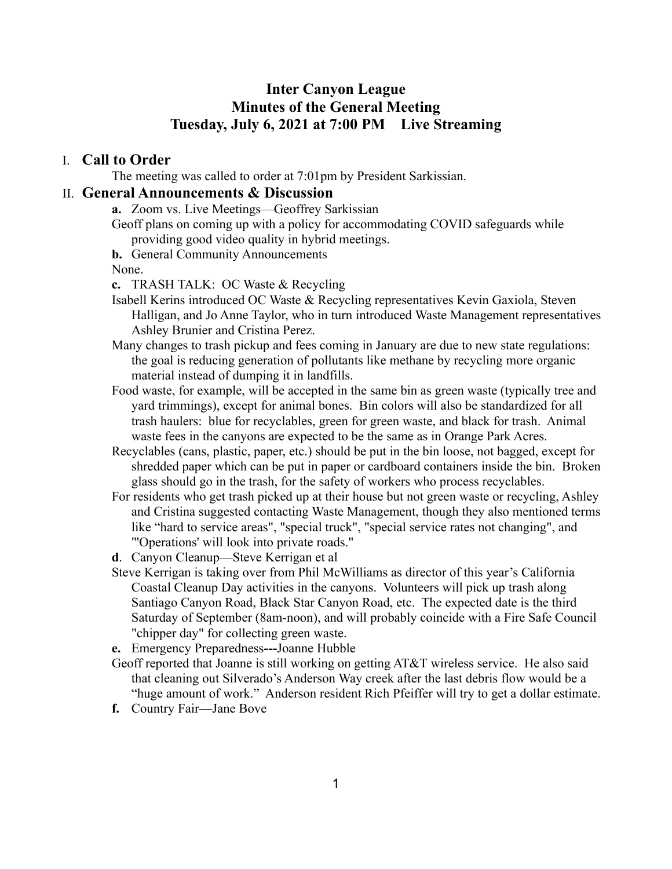## **Inter Canyon League Minutes of the General Meeting Tuesday, July 6, 2021 at 7:00 PM Live Streaming**

## I. **Call to Order**

The meeting was called to order at 7:01pm by President Sarkissian.

## II. **General Announcements & Discussion**

**a.** Zoom vs. Live Meetings—Geoffrey Sarkissian

Geoff plans on coming up with a policy for accommodating COVID safeguards while providing good video quality in hybrid meetings.

**b.** General Community Announcements

None.

- **c.** TRASH TALK: OC Waste & Recycling
- Isabell Kerins introduced OC Waste & Recycling representatives Kevin Gaxiola, Steven Halligan, and Jo Anne Taylor, who in turn introduced Waste Management representatives Ashley Brunier and Cristina Perez.
- Many changes to trash pickup and fees coming in January are due to new state regulations: the goal is reducing generation of pollutants like methane by recycling more organic material instead of dumping it in landfills.
- Food waste, for example, will be accepted in the same bin as green waste (typically tree and yard trimmings), except for animal bones. Bin colors will also be standardized for all trash haulers: blue for recyclables, green for green waste, and black for trash. Animal waste fees in the canyons are expected to be the same as in Orange Park Acres.
- Recyclables (cans, plastic, paper, etc.) should be put in the bin loose, not bagged, except for shredded paper which can be put in paper or cardboard containers inside the bin. Broken glass should go in the trash, for the safety of workers who process recyclables.
- For residents who get trash picked up at their house but not green waste or recycling, Ashley and Cristina suggested contacting Waste Management, though they also mentioned terms like "hard to service areas", "special truck", "special service rates not changing", and "'Operations' will look into private roads."
- **d**. Canyon Cleanup—Steve Kerrigan et al
- Steve Kerrigan is taking over from Phil McWilliams as director of this year's California Coastal Cleanup Day activities in the canyons. Volunteers will pick up trash along Santiago Canyon Road, Black Star Canyon Road, etc. The expected date is the third Saturday of September (8am-noon), and will probably coincide with a Fire Safe Council "chipper day" for collecting green waste.
- **e.** Emergency Preparedness**---**Joanne Hubble
- Geoff reported that Joanne is still working on getting AT&T wireless service. He also said that cleaning out Silverado's Anderson Way creek after the last debris flow would be a "huge amount of work." Anderson resident Rich Pfeiffer will try to get a dollar estimate.
- **f.** Country Fair—Jane Bove